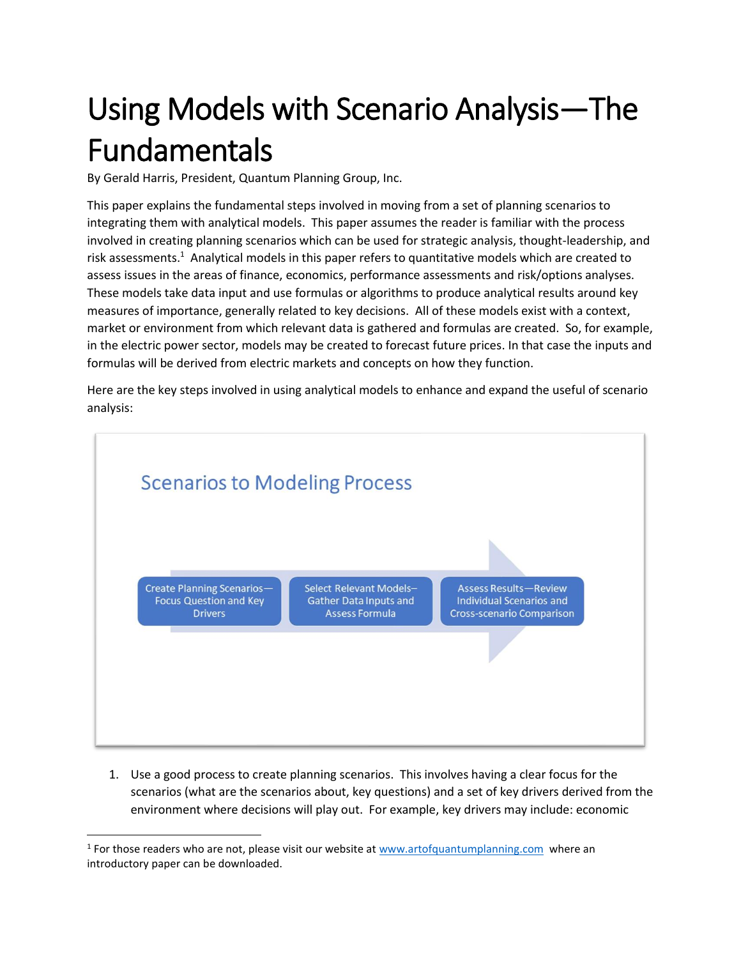## Using Models with Scenario Analysis—The Fundamentals

By Gerald Harris, President, Quantum Planning Group, Inc.

This paper explains the fundamental steps involved in moving from a set of planning scenarios to integrating them with analytical models. This paper assumes the reader is familiar with the process involved in creating planning scenarios which can be used for strategic analysis, thought-leadership, and risk assessments.<sup>1</sup> Analytical models in this paper refers to quantitative models which are created to assess issues in the areas of finance, economics, performance assessments and risk/options analyses. These models take data input and use formulas or algorithms to produce analytical results around key measures of importance, generally related to key decisions. All of these models exist with a context, market or environment from which relevant data is gathered and formulas are created. So, for example, in the electric power sector, models may be created to forecast future prices. In that case the inputs and formulas will be derived from electric markets and concepts on how they function.

Here are the key steps involved in using analytical models to enhance and expand the useful of scenario analysis:



1. Use a good process to create planning scenarios. This involves having a clear focus for the scenarios (what are the scenarios about, key questions) and a set of key drivers derived from the environment where decisions will play out. For example, key drivers may include: economic

<sup>&</sup>lt;sup>1</sup> For those readers who are not, please visit our website at [www.artofquantumplanning.com](http://www.artofquantumplanning.com/) where an introductory paper can be downloaded.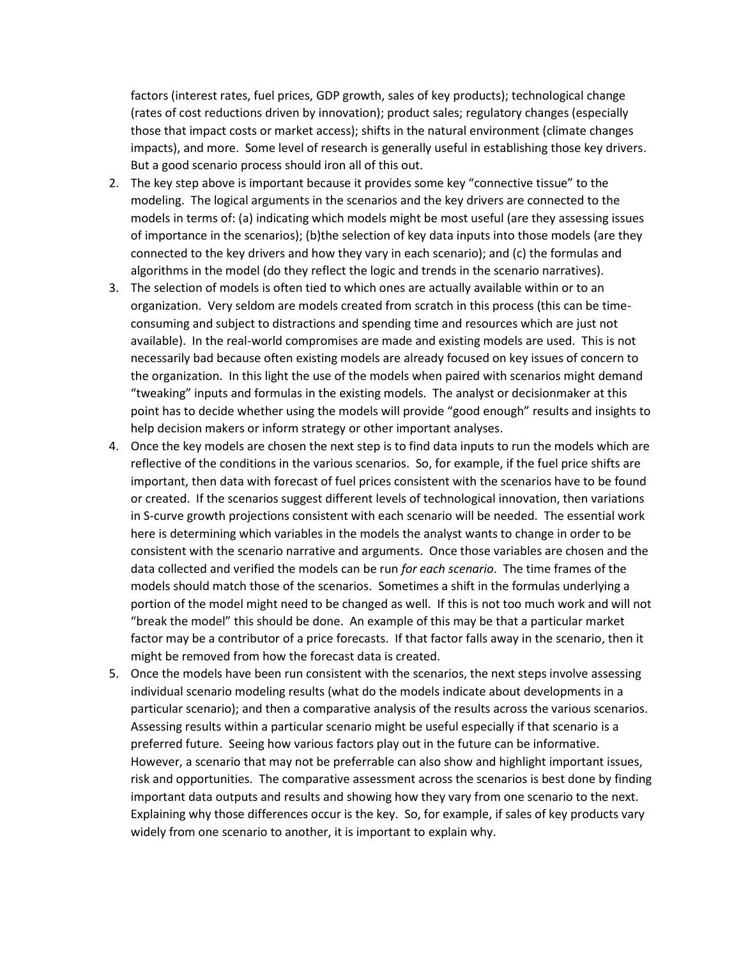factors (interest rates, fuel prices, GDP growth, sales of key products); technological change (rates of cost reductions driven by innovation); product sales; regulatory changes (especially those that impact costs or market access); shifts in the natural environment (climate changes impacts), and more. Some level of research is generally useful in establishing those key drivers. But a good scenario process should iron all of this out.

- 2. The key step above is important because it provides some key "connective tissue" to the modeling. The logical arguments in the scenarios and the key drivers are connected to the models in terms of: (a) indicating which models might be most useful (are they assessing issues of importance in the scenarios); (b)the selection of key data inputs into those models (are they connected to the key drivers and how they vary in each scenario); and (c) the formulas and algorithms in the model (do they reflect the logic and trends in the scenario narratives).
- 3. The selection of models is often tied to which ones are actually available within or to an organization. Very seldom are models created from scratch in this process (this can be timeconsuming and subject to distractions and spending time and resources which are just not available). In the real-world compromises are made and existing models are used. This is not necessarily bad because often existing models are already focused on key issues of concern to the organization. In this light the use of the models when paired with scenarios might demand "tweaking" inputs and formulas in the existing models. The analyst or decisionmaker at this point has to decide whether using the models will provide "good enough" results and insights to help decision makers or inform strategy or other important analyses.
- 4. Once the key models are chosen the next step is to find data inputs to run the models which are reflective of the conditions in the various scenarios. So, for example, if the fuel price shifts are important, then data with forecast of fuel prices consistent with the scenarios have to be found or created. If the scenarios suggest different levels of technological innovation, then variations in S-curve growth projections consistent with each scenario will be needed. The essential work here is determining which variables in the models the analyst wants to change in order to be consistent with the scenario narrative and arguments. Once those variables are chosen and the data collected and verified the models can be run *for each scenario*. The time frames of the models should match those of the scenarios. Sometimes a shift in the formulas underlying a portion of the model might need to be changed as well. If this is not too much work and will not "break the model" this should be done. An example of this may be that a particular market factor may be a contributor of a price forecasts. If that factor falls away in the scenario, then it might be removed from how the forecast data is created.
- 5. Once the models have been run consistent with the scenarios, the next steps involve assessing individual scenario modeling results (what do the models indicate about developments in a particular scenario); and then a comparative analysis of the results across the various scenarios. Assessing results within a particular scenario might be useful especially if that scenario is a preferred future. Seeing how various factors play out in the future can be informative. However, a scenario that may not be preferrable can also show and highlight important issues, risk and opportunities. The comparative assessment across the scenarios is best done by finding important data outputs and results and showing how they vary from one scenario to the next. Explaining why those differences occur is the key. So, for example, if sales of key products vary widely from one scenario to another, it is important to explain why.